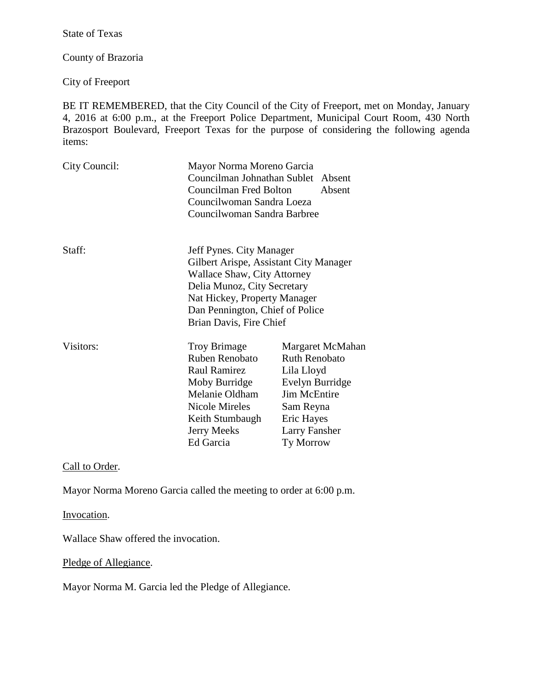State of Texas

County of Brazoria

City of Freeport

BE IT REMEMBERED, that the City Council of the City of Freeport, met on Monday, January 4, 2016 at 6:00 p.m., at the Freeport Police Department, Municipal Court Room, 430 North Brazosport Boulevard, Freeport Texas for the purpose of considering the following agenda items:

| City Council: | Mayor Norma Moreno Garcia<br>Councilman Johnathan Sublet Absent<br>Councilman Fred Bolton<br>Councilwoman Sandra Loeza<br>Councilwoman Sandra Barbree                                                                                 | Absent                                                                                                                                                    |
|---------------|---------------------------------------------------------------------------------------------------------------------------------------------------------------------------------------------------------------------------------------|-----------------------------------------------------------------------------------------------------------------------------------------------------------|
| Staff:        | Jeff Pynes. City Manager<br>Gilbert Arispe, Assistant City Manager<br><b>Wallace Shaw, City Attorney</b><br>Delia Munoz, City Secretary<br>Nat Hickey, Property Manager<br>Dan Pennington, Chief of Police<br>Brian Davis, Fire Chief |                                                                                                                                                           |
| Visitors:     | <b>Troy Brimage</b><br>Ruben Renobato<br><b>Raul Ramirez</b><br>Moby Burridge<br>Melanie Oldham<br>Nicole Mireles<br>Keith Stumbaugh<br><b>Jerry Meeks</b><br>Ed Garcia                                                               | Margaret McMahan<br><b>Ruth Renobato</b><br>Lila Lloyd<br>Evelyn Burridge<br>Jim McEntire<br>Sam Reyna<br>Eric Hayes<br><b>Larry Fansher</b><br>Ty Morrow |

Call to Order.

Mayor Norma Moreno Garcia called the meeting to order at 6:00 p.m.

Invocation.

Wallace Shaw offered the invocation.

Pledge of Allegiance.

Mayor Norma M. Garcia led the Pledge of Allegiance.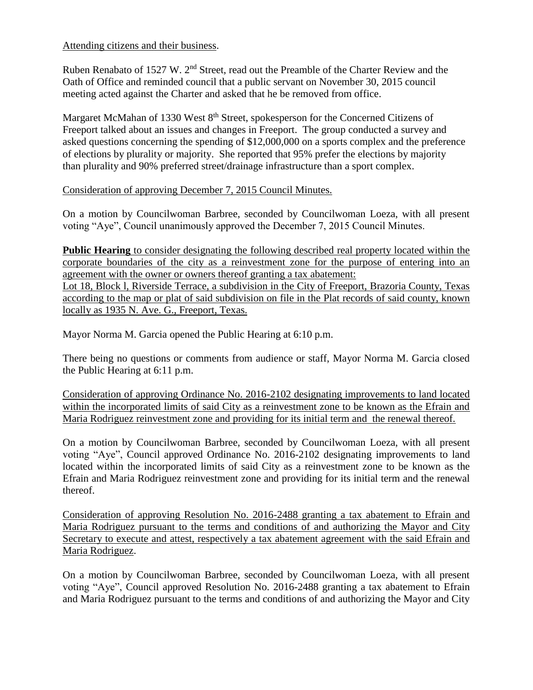Attending citizens and their business.

Ruben Renabato of 1527 W. 2<sup>nd</sup> Street, read out the Preamble of the Charter Review and the Oath of Office and reminded council that a public servant on November 30, 2015 council meeting acted against the Charter and asked that he be removed from office.

Margaret McMahan of 1330 West 8<sup>th</sup> Street, spokesperson for the Concerned Citizens of Freeport talked about an issues and changes in Freeport. The group conducted a survey and asked questions concerning the spending of \$12,000,000 on a sports complex and the preference of elections by plurality or majority. She reported that 95% prefer the elections by majority than plurality and 90% preferred street/drainage infrastructure than a sport complex.

### Consideration of approving December 7, 2015 Council Minutes.

On a motion by Councilwoman Barbree, seconded by Councilwoman Loeza, with all present voting "Aye", Council unanimously approved the December 7, 2015 Council Minutes.

**Public Hearing** to consider designating the following described real property located within the corporate boundaries of the city as a reinvestment zone for the purpose of entering into an agreement with the owner or owners thereof granting a tax abatement: Lot 18, Block l, Riverside Terrace, a subdivision in the City of Freeport, Brazoria County, Texas according to the map or plat of said subdivision on file in the Plat records of said county, known locally as 1935 N. Ave. G., Freeport, Texas.

Mayor Norma M. Garcia opened the Public Hearing at 6:10 p.m.

There being no questions or comments from audience or staff, Mayor Norma M. Garcia closed the Public Hearing at 6:11 p.m.

Consideration of approving Ordinance No. 2016-2102 designating improvements to land located within the incorporated limits of said City as a reinvestment zone to be known as the Efrain and Maria Rodriguez reinvestment zone and providing for its initial term and the renewal thereof.

On a motion by Councilwoman Barbree, seconded by Councilwoman Loeza, with all present voting "Aye", Council approved Ordinance No. 2016-2102 designating improvements to land located within the incorporated limits of said City as a reinvestment zone to be known as the Efrain and Maria Rodriguez reinvestment zone and providing for its initial term and the renewal thereof.

Consideration of approving Resolution No. 2016-2488 granting a tax abatement to Efrain and Maria Rodriguez pursuant to the terms and conditions of and authorizing the Mayor and City Secretary to execute and attest, respectively a tax abatement agreement with the said Efrain and Maria Rodriguez.

On a motion by Councilwoman Barbree, seconded by Councilwoman Loeza, with all present voting "Aye", Council approved Resolution No. 2016-2488 granting a tax abatement to Efrain and Maria Rodriguez pursuant to the terms and conditions of and authorizing the Mayor and City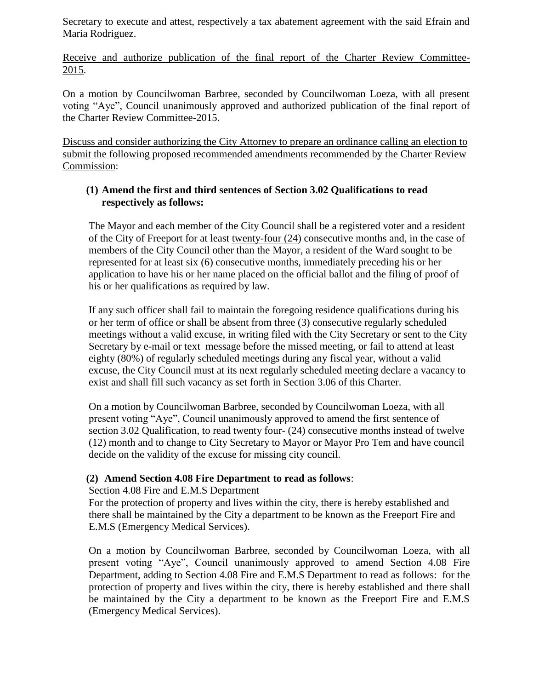Secretary to execute and attest, respectively a tax abatement agreement with the said Efrain and Maria Rodriguez.

Receive and authorize publication of the final report of the Charter Review Committee- $2015.$ 

On a motion by Councilwoman Barbree, seconded by Councilwoman Loeza, with all present voting "Aye", Council unanimously approved and authorized publication of the final report of the Charter Review Committee-2015.

Discuss and consider authorizing the City Attorney to prepare an ordinance calling an election to submit the following proposed recommended amendments recommended by the Charter Review Commission:

# **(1) Amend the first and third sentences of Section 3.02 Qualifications to read respectively as follows:**

 The Mayor and each member of the City Council shall be a registered voter and a resident of the City of Freeport for at least twenty-four (24) consecutive months and, in the case of members of the City Council other than the Mayor, a resident of the Ward sought to be represented for at least six (6) consecutive months, immediately preceding his or her application to have his or her name placed on the official ballot and the filing of proof of his or her qualifications as required by law.

If any such officer shall fail to maintain the foregoing residence qualifications during his or her term of office or shall be absent from three (3) consecutive regularly scheduled meetings without a valid excuse, in writing filed with the City Secretary or sent to the City Secretary by e-mail or text message before the missed meeting, or fail to attend at least eighty (80%) of regularly scheduled meetings during any fiscal year, without a valid excuse, the City Council must at its next regularly scheduled meeting declare a vacancy to exist and shall fill such vacancy as set forth in Section 3.06 of this Charter.

On a motion by Councilwoman Barbree, seconded by Councilwoman Loeza, with all present voting "Aye", Council unanimously approved to amend the first sentence of section 3.02 Qualification, to read twenty four- (24) consecutive months instead of twelve (12) month and to change to City Secretary to Mayor or Mayor Pro Tem and have council decide on the validity of the excuse for missing city council.

# **(2) Amend Section 4.08 Fire Department to read as follows**:

# Section 4.08 Fire and E.M.S Department

For the protection of property and lives within the city, there is hereby established and there shall be maintained by the City a department to be known as the Freeport Fire and E.M.S (Emergency Medical Services).

On a motion by Councilwoman Barbree, seconded by Councilwoman Loeza, with all present voting "Aye", Council unanimously approved to amend Section 4.08 Fire Department, adding to Section 4.08 Fire and E.M.S Department to read as follows: for the protection of property and lives within the city, there is hereby established and there shall be maintained by the City a department to be known as the Freeport Fire and E.M.S (Emergency Medical Services).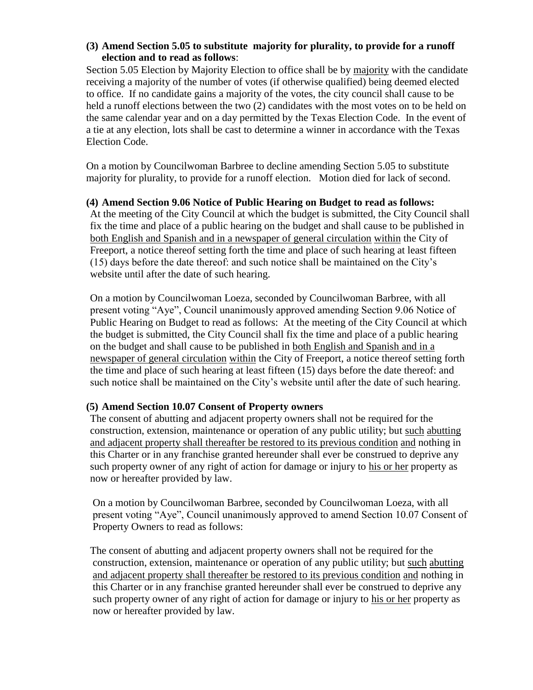### **(3) Amend Section 5.05 to substitute majority for plurality, to provide for a runoff election and to read as follows**:

Section 5.05 Election by Majority Election to office shall be by majority with the candidate receiving a majority of the number of votes (if otherwise qualified) being deemed elected to office. If no candidate gains a majority of the votes, the city council shall cause to be held a runoff elections between the two (2) candidates with the most votes on to be held on the same calendar year and on a day permitted by the Texas Election Code. In the event of a tie at any election, lots shall be cast to determine a winner in accordance with the Texas Election Code.

On a motion by Councilwoman Barbree to decline amending Section 5.05 to substitute majority for plurality, to provide for a runoff election. Motion died for lack of second.

### **(4) Amend Section 9.06 Notice of Public Hearing on Budget to read as follows:**

At the meeting of the City Council at which the budget is submitted, the City Council shall fix the time and place of a public hearing on the budget and shall cause to be published in both English and Spanish and in a newspaper of general circulation within the City of Freeport, a notice thereof setting forth the time and place of such hearing at least fifteen (15) days before the date thereof: and such notice shall be maintained on the City's website until after the date of such hearing.

On a motion by Councilwoman Loeza, seconded by Councilwoman Barbree, with all present voting "Aye", Council unanimously approved amending Section 9.06 Notice of Public Hearing on Budget to read as follows: At the meeting of the City Council at which the budget is submitted, the City Council shall fix the time and place of a public hearing on the budget and shall cause to be published in both English and Spanish and in a newspaper of general circulation within the City of Freeport, a notice thereof setting forth the time and place of such hearing at least fifteen (15) days before the date thereof: and such notice shall be maintained on the City's website until after the date of such hearing.

# **(5) Amend Section 10.07 Consent of Property owners**

 The consent of abutting and adjacent property owners shall not be required for the construction, extension, maintenance or operation of any public utility; but such abutting and adjacent property shall thereafter be restored to its previous condition and nothing in this Charter or in any franchise granted hereunder shall ever be construed to deprive any such property owner of any right of action for damage or injury to his or her property as now or hereafter provided by law.

 On a motion by Councilwoman Barbree, seconded by Councilwoman Loeza, with all present voting "Aye", Council unanimously approved to amend Section 10.07 Consent of Property Owners to read as follows:

 The consent of abutting and adjacent property owners shall not be required for the construction, extension, maintenance or operation of any public utility; but such abutting and adjacent property shall thereafter be restored to its previous condition and nothing in this Charter or in any franchise granted hereunder shall ever be construed to deprive any such property owner of any right of action for damage or injury to his or her property as now or hereafter provided by law.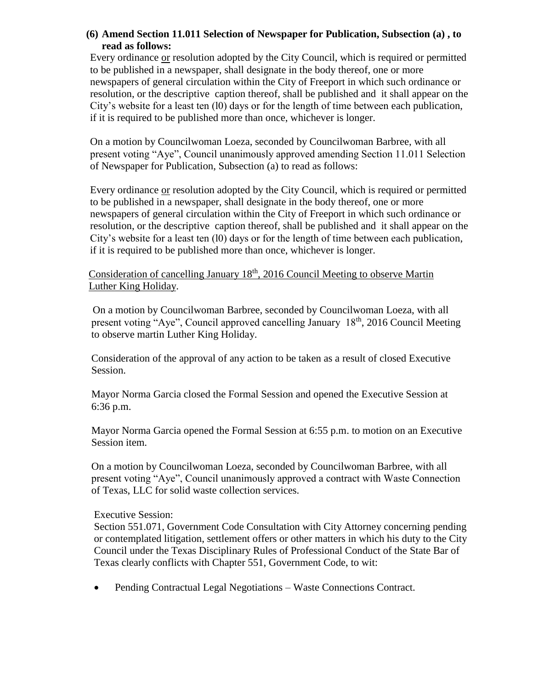### **(6) Amend Section 11.011 Selection of Newspaper for Publication, Subsection (a) , to read as follows:**

Every ordinance or resolution adopted by the City Council, which is required or permitted to be published in a newspaper, shall designate in the body thereof, one or more newspapers of general circulation within the City of Freeport in which such ordinance or resolution, or the descriptive caption thereof, shall be published and it shall appear on the City's website for a least ten (l0) days or for the length of time between each publication, if it is required to be published more than once, whichever is longer.

On a motion by Councilwoman Loeza, seconded by Councilwoman Barbree, with all present voting "Aye", Council unanimously approved amending Section 11.011 Selection of Newspaper for Publication, Subsection (a) to read as follows:

Every ordinance or resolution adopted by the City Council, which is required or permitted to be published in a newspaper, shall designate in the body thereof, one or more newspapers of general circulation within the City of Freeport in which such ordinance or resolution, or the descriptive caption thereof, shall be published and it shall appear on the City's website for a least ten (l0) days or for the length of time between each publication, if it is required to be published more than once, whichever is longer.

### Consideration of cancelling January  $18<sup>th</sup>$ , 2016 Council Meeting to observe Martin Luther King Holiday.

 On a motion by Councilwoman Barbree, seconded by Councilwoman Loeza, with all present voting "Aye", Council approved cancelling January 18th, 2016 Council Meeting to observe martin Luther King Holiday.

 Consideration of the approval of any action to be taken as a result of closed Executive Session.

 Mayor Norma Garcia closed the Formal Session and opened the Executive Session at 6:36 p.m.

 Mayor Norma Garcia opened the Formal Session at 6:55 p.m. to motion on an Executive Session item.

 On a motion by Councilwoman Loeza, seconded by Councilwoman Barbree, with all present voting "Aye", Council unanimously approved a contract with Waste Connection of Texas, LLC for solid waste collection services.

#### Executive Session:

Section 551.071, Government Code Consultation with City Attorney concerning pending or contemplated litigation, settlement offers or other matters in which his duty to the City Council under the Texas Disciplinary Rules of Professional Conduct of the State Bar of Texas clearly conflicts with Chapter 551, Government Code, to wit:

• Pending Contractual Legal Negotiations – Waste Connections Contract.